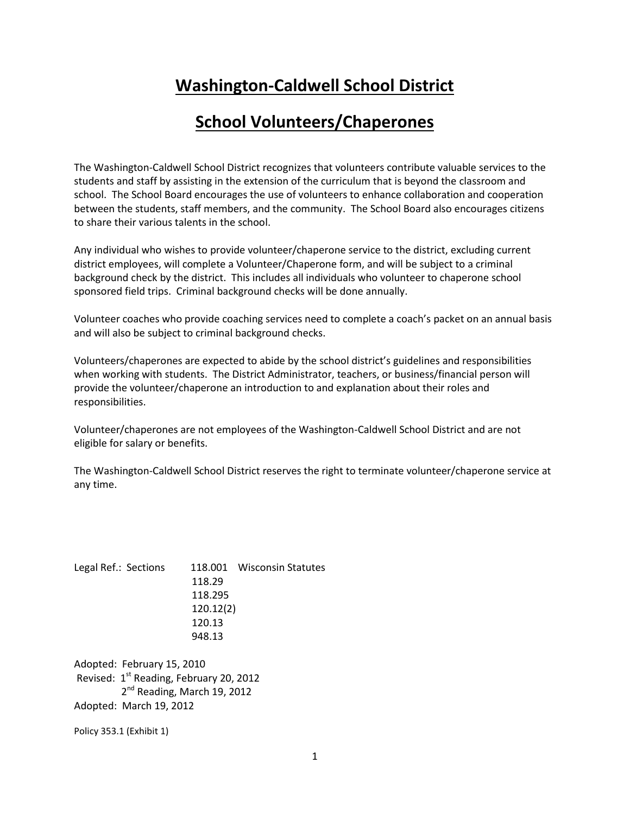# **Washington-Caldwell School District**

## **School Volunteers/Chaperones**

The Washington-Caldwell School District recognizes that volunteers contribute valuable services to the students and staff by assisting in the extension of the curriculum that is beyond the classroom and school. The School Board encourages the use of volunteers to enhance collaboration and cooperation between the students, staff members, and the community. The School Board also encourages citizens to share their various talents in the school.

Any individual who wishes to provide volunteer/chaperone service to the district, excluding current district employees, will complete a Volunteer/Chaperone form, and will be subject to a criminal background check by the district. This includes all individuals who volunteer to chaperone school sponsored field trips. Criminal background checks will be done annually.

Volunteer coaches who provide coaching services need to complete a coach's packet on an annual basis and will also be subject to criminal background checks.

Volunteers/chaperones are expected to abide by the school district's guidelines and responsibilities when working with students. The District Administrator, teachers, or business/financial person will provide the volunteer/chaperone an introduction to and explanation about their roles and responsibilities.

Volunteer/chaperones are not employees of the Washington-Caldwell School District and are not eligible for salary or benefits.

The Washington-Caldwell School District reserves the right to terminate volunteer/chaperone service at any time.

Legal Ref.: Sections 118.001 Wisconsin Statutes 118.29 118.295 120.12(2) 120.13 948.13

Adopted: February 15, 2010 Revised:  $1<sup>st</sup>$  Reading, February 20, 2012 2<sup>nd</sup> Reading, March 19, 2012 Adopted: March 19, 2012

Policy 353.1 (Exhibit 1)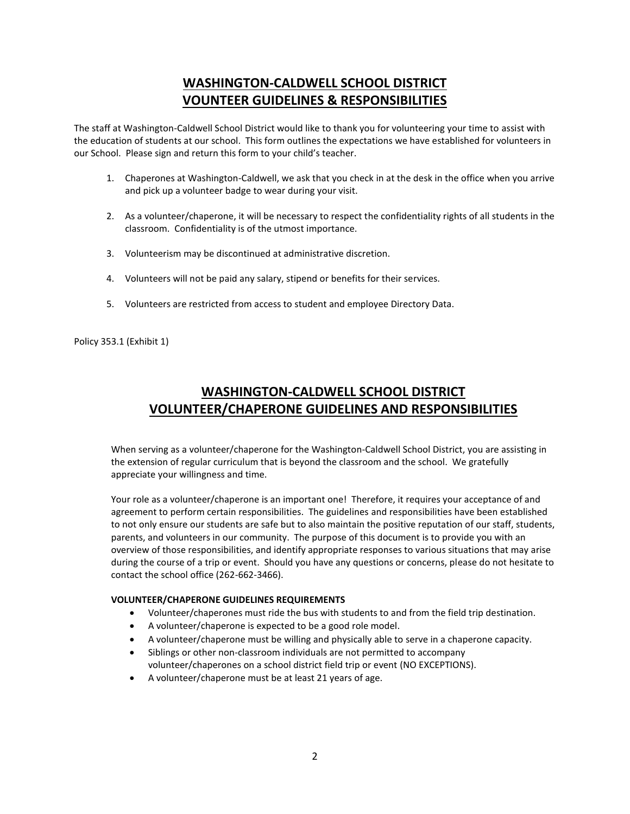### **WASHINGTON-CALDWELL SCHOOL DISTRICT VOUNTEER GUIDELINES & RESPONSIBILITIES**

The staff at Washington-Caldwell School District would like to thank you for volunteering your time to assist with the education of students at our school. This form outlines the expectations we have established for volunteers in our School. Please sign and return this form to your child's teacher.

- 1. Chaperones at Washington-Caldwell, we ask that you check in at the desk in the office when you arrive and pick up a volunteer badge to wear during your visit.
- 2. As a volunteer/chaperone, it will be necessary to respect the confidentiality rights of all students in the classroom. Confidentiality is of the utmost importance.
- 3. Volunteerism may be discontinued at administrative discretion.
- 4. Volunteers will not be paid any salary, stipend or benefits for their services.
- 5. Volunteers are restricted from access to student and employee Directory Data.

Policy 353.1 (Exhibit 1)

### **WASHINGTON-CALDWELL SCHOOL DISTRICT VOLUNTEER/CHAPERONE GUIDELINES AND RESPONSIBILITIES**

When serving as a volunteer/chaperone for the Washington-Caldwell School District, you are assisting in the extension of regular curriculum that is beyond the classroom and the school. We gratefully appreciate your willingness and time.

Your role as a volunteer/chaperone is an important one! Therefore, it requires your acceptance of and agreement to perform certain responsibilities. The guidelines and responsibilities have been established to not only ensure our students are safe but to also maintain the positive reputation of our staff, students, parents, and volunteers in our community. The purpose of this document is to provide you with an overview of those responsibilities, and identify appropriate responses to various situations that may arise during the course of a trip or event. Should you have any questions or concerns, please do not hesitate to contact the school office (262-662-3466).

#### **VOLUNTEER/CHAPERONE GUIDELINES REQUIREMENTS**

- Volunteer/chaperones must ride the bus with students to and from the field trip destination.
- A volunteer/chaperone is expected to be a good role model.
- A volunteer/chaperone must be willing and physically able to serve in a chaperone capacity.
- Siblings or other non-classroom individuals are not permitted to accompany
- volunteer/chaperones on a school district field trip or event (NO EXCEPTIONS).
- A volunteer/chaperone must be at least 21 years of age.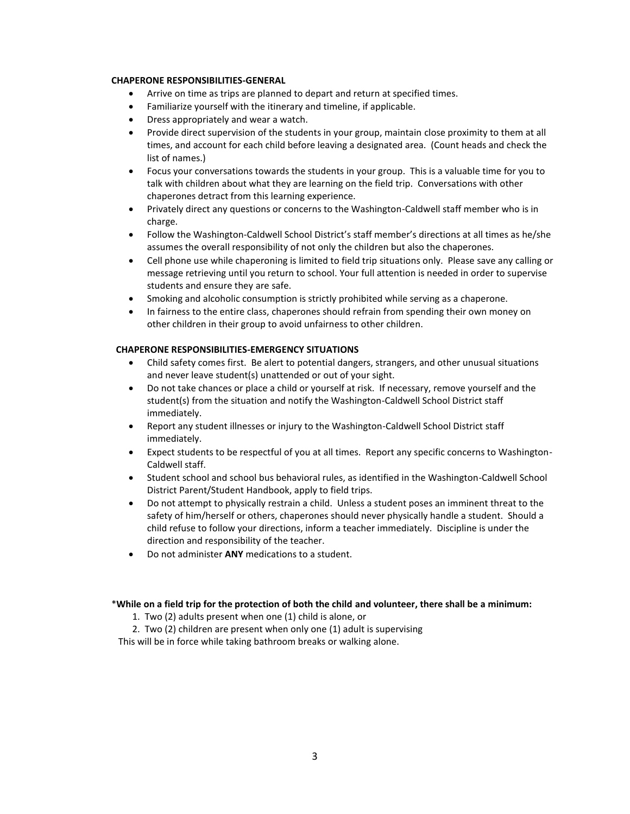#### **CHAPERONE RESPONSIBILITIES-GENERAL**

- Arrive on time as trips are planned to depart and return at specified times.
- Familiarize yourself with the itinerary and timeline, if applicable.
- Dress appropriately and wear a watch.
- Provide direct supervision of the students in your group, maintain close proximity to them at all times, and account for each child before leaving a designated area. (Count heads and check the list of names.)
- Focus your conversations towards the students in your group. This is a valuable time for you to talk with children about what they are learning on the field trip. Conversations with other chaperones detract from this learning experience.
- Privately direct any questions or concerns to the Washington-Caldwell staff member who is in charge.
- Follow the Washington-Caldwell School District's staff member's directions at all times as he/she assumes the overall responsibility of not only the children but also the chaperones.
- Cell phone use while chaperoning is limited to field trip situations only. Please save any calling or message retrieving until you return to school. Your full attention is needed in order to supervise students and ensure they are safe.
- Smoking and alcoholic consumption is strictly prohibited while serving as a chaperone.
- In fairness to the entire class, chaperones should refrain from spending their own money on other children in their group to avoid unfairness to other children.

#### **CHAPERONE RESPONSIBILITIES-EMERGENCY SITUATIONS**

- Child safety comes first. Be alert to potential dangers, strangers, and other unusual situations and never leave student(s) unattended or out of your sight.
- Do not take chances or place a child or yourself at risk. If necessary, remove yourself and the student(s) from the situation and notify the Washington-Caldwell School District staff immediately.
- Report any student illnesses or injury to the Washington-Caldwell School District staff immediately.
- Expect students to be respectful of you at all times. Report any specific concerns to Washington-Caldwell staff.
- Student school and school bus behavioral rules, as identified in the Washington-Caldwell School District Parent/Student Handbook, apply to field trips.
- Do not attempt to physically restrain a child. Unless a student poses an imminent threat to the safety of him/herself or others, chaperones should never physically handle a student. Should a child refuse to follow your directions, inform a teacher immediately. Discipline is under the direction and responsibility of the teacher.
- Do not administer **ANY** medications to a student.

#### \***While on a field trip for the protection of both the child and volunteer, there shall be a minimum:**

- 1. Two (2) adults present when one (1) child is alone, or
- 2. Two (2) children are present when only one (1) adult is supervising

This will be in force while taking bathroom breaks or walking alone.